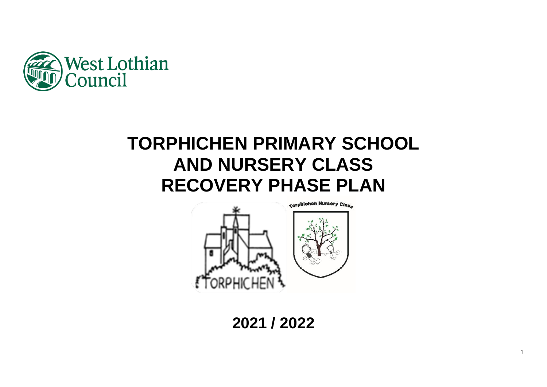

# **TORPHICHEN PRIMARY SCHOOL AND NURSERY CLASS RECOVERY PHASE PLAN**



**2021 / 2022**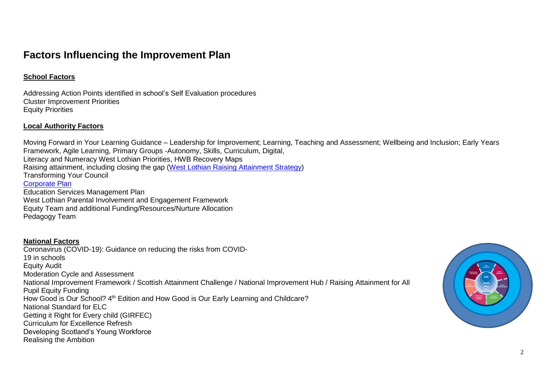# **Factors Influencing the Improvement Plan**

# **School Factors**

Addressing Action Points identified in school's Self Evaluation procedures Cluster Improvement Priorities Equity Priorities

# **Local Authority Factors**

Moving Forward in Your Learning Guidance – Leadership for Improvement; Learning, Teaching and Assessment; Wellbeing and Inclusion; Early Years Framework, Agile Learning, Primary Groups -Autonomy, Skills, Curriculum, Digital, Literacy and Numeracy West Lothian Priorities, HWB Recovery Maps Raising attainment, including closing the gap [\(West Lothian Raising Attainment Strategy\)](https://www.westlothian.gov.uk/media/29938/Raising-Attainment-Strategy-201819-to-202223/pdf/Raising_Attainment_Strategy.pdf) Transforming Your Council [Corporate Plan](https://www.westlothian.gov.uk/media/19488/Corporate-Plan-2018-2023/pdf/Corporate_Plan_2018_to_2023.pdf) Education Services Management Plan West Lothian Parental Involvement and Engagement Framework Equity Team and additional Funding/Resources/Nurture Allocation Pedagogy Team

# **National Factors**

Coronavirus (COVID-19): Guidance on reducing the risks from COVID-19 in schools Equity Audit Moderation Cycle and Assessment National Improvement Framework / Scottish Attainment Challenge / National Improvement Hub / Raising Attainment for All Pupil Equity Funding How Good is Our School? 4<sup>th</sup> Edition and How Good is Our Early Learning and Childcare? National Standard for ELC Getting it Right for Every child (GIRFEC) Curriculum for Excellence Refresh Developing Scotland's Young Workforce Realising the Ambition

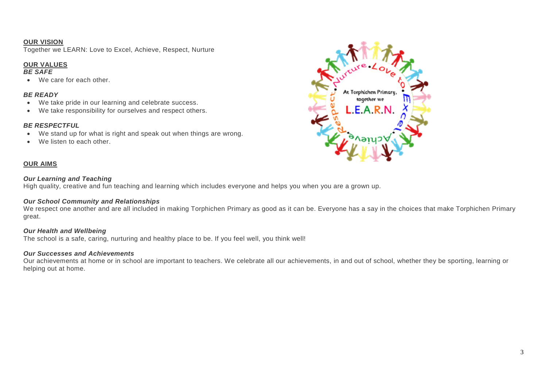#### **OUR VISION**

Together we LEARN: Love to Excel, Achieve, Respect, Nurture

#### **OUR VALUES**

#### *BE SAFE*

We care for each other.

#### *BE READY*

- We take pride in our learning and celebrate success.
- We take responsibility for ourselves and respect others.

#### *BE RESPECTFUL*

- We stand up for what is right and speak out when things are wrong.
- We listen to each other.

#### **OUR AIMS**

#### *Our Learning and Teaching*

High quality, creative and fun teaching and learning which includes everyone and helps you when you are a grown up.

#### *Our School Community and Relationships*

We respect one another and are all included in making Torphichen Primary as good as it can be. Everyone has a say in the choices that make Torphichen Primary great.

#### *Our Health and Wellbeing*

The school is a safe, caring, nurturing and healthy place to be. If you feel well, you think well!

#### *Our Successes and Achievements*

Our achievements at home or in school are important to teachers. We celebrate all our achievements, in and out of school, whether they be sporting, learning or helping out at home.

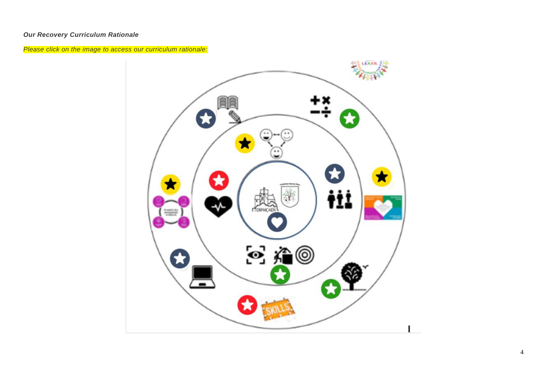# *Our Recovery Curriculum Rationale*

*Please click on the image to access our curriculum rationale:*

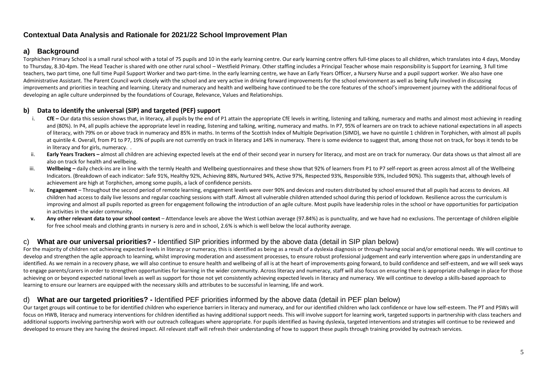# **Contextual Data Analysis and Rationale for 2021/22 School Improvement Plan**

# **a) Background**

Torphichen Primary School is a small rural school with a total of 75 pupils and 10 in the early learning centre. Our early learning centre offers full-time places to all children, which translates into 4 days, Monday to Thursday, 8.30-4pm. The Head Teacher is shared with one other rural school – Westfield Primary. Other staffing includes a Principal Teacher whose main responsibility is Support for Learning, 3 full time teachers, two part time, one full time Pupil Support Worker and two part-time. In the early learning centre, we have an Early Years Officer, a Nursery Nurse and a pupil support worker. We also have one Administrative Assistant. The Parent Council work closely with the school and are very active in driving forward improvements for the school environment as well as being fully involved in discussing improvements and priorities in teaching and learning. Literacy and numeracy and health and wellbeing have continued to be the core features of the school's improvement journey with the additional focus of developing an agile culture underpinned by the foundations of Courage, Relevance, Values and Relationships.

#### **b) Data to identify the universal (SIP) and targeted (PEF) support**

- i. CfE Our data this session shows that, in literacy, all pupils by the end of P1 attain the appropriate CfE levels in writing, listening and talking, numeracy and maths and almost most achieving in reading and (80%). In P4, all pupils achieve the appropriate level in reading, listening and talking, writing, numeracy and maths. In P7, 95% of learners are on track to achieve national expectations in all aspects of literacy, with 79% on or above track in numeracy and 85% in maths. In terms of the Scottish Index of Multiple Deprivation (SIMD), we have no quintile 1 children in Torphichen, with almost all pupils at quintile 4. Overall, from P1 to P7, 19% of pupils are not currently on track in literacy and 14% in numeracy. There is some evidence to suggest that, among those not on track, for boys it tends to be in literacy and for girls, numeracy. .
- ii. **Early Years Trackers –** almost all children are achieving expected levels at the end of their second year in nursery for literacy, and most are on track for numeracy. Our data shows us that almost all are also on track for health and wellbeing.
- iii. Wellbeing daily check-ins are in line with the termly Health and Wellbeing questionnaires and these show that 92% of learners from P1 to P7 self-report as green across almost all of the Wellbeing Indicators. (Breakdown of each indicator: Safe 91%, Healthy 92%, Achieving 88%, Nurtured 94%, Active 97%, Respected 93%, Responsible 93%, Included 90%). This suggests that, although levels of achievement are high at Torphichen, among some pupils, a lack of confidence persists.
- iv. **Engagement** Throughout the second period of remote learning, engagement levels were over 90% and devices and routers distributed by school ensured that all pupils had access to devices. All children had access to daily live lessons and regular coaching sessions with staff. Almost all vulnerable children attended school during this period of lockdown. Resilience across the curriculum is improving and almost all pupils reported as green for engagement following the introduction of an agile culture. Most pupils have leadership roles in the school or have opportunities for participation in activities in the wider community.
- **v. Any other relevant data to your school context** Attendance levels are above the West Lothian average (97.84%) as is punctuality, and we have had no exclusions. The percentage of children eligible for free school meals and clothing grants in nursery is zero and in school, 2.6% is which is well below the local authority average.

# c) **What are our universal priorities? -** Identified SIP priorities informed by the above data (detail in SIP plan below)

For the majority of children not achieving expected levels in literacy or numeracy, this is identified as being as a result of a dyslexia diagnosis or through having social and/or emotional needs. We will continue to develop and strengthen the agile approach to learning, whilst improving moderation and assessment processes, to ensure robust professional judgement and early intervention where gaps in understanding are identified. As we remain in a recovery phase, we will also continue to ensure health and wellbeing of all is at the heart of improvements going forward, to build confidence and self-esteem, and we will seek ways to engage parents/carers in order to strengthen opportunities for learning in the wider community. Across literacy and numeracy, staff will also focus on ensuring there is appropriate challenge in place for those achieving on or beyond expected national levels as well as support for those not yet consistently achieving expected levels in literacy and numeracy. We will continue to develop a skills-based approach to learning to ensure our learners are equipped with the necessary skills and attributes to be successful in learning, life and work.

# d) **What are our targeted priorities? -** Identified PEF priorities informed by the above data (detail in PEF plan below)

Our target groups will continue to be for identified children who experience barriers in literacy and numeracy, and for our identified children who lack confidence or have low self-esteem. The PT and PSWs will focus on HWB, literacy and numeracy interventions for children identified as having additional support needs. This will involve support for learning work, targeted supports in partnership with class teachers and additional supports involving partnership work with our outreach colleagues where appropriate. For pupils identified as having dyslexia, targeted interventions and strategies will continue to be reviewed and developed to ensure they are having the desired impact. All relevant staff will refresh their understanding of how to support these pupils through training provided by outreach services.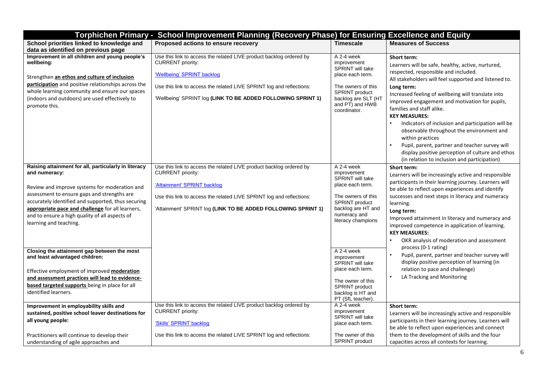| Torphichen Primary - School Improvement Planning (Recovery Phase) for Ensuring Excellence and Equity                                                                                                                                                                                                                                                        |                                                                                                                                                                                                                                                                         |                                                                                                                                                                                   |                                                                                                                                                                                                                                                                                                                                                                                                                                                                                                                                                                                                                          |  |  |  |
|-------------------------------------------------------------------------------------------------------------------------------------------------------------------------------------------------------------------------------------------------------------------------------------------------------------------------------------------------------------|-------------------------------------------------------------------------------------------------------------------------------------------------------------------------------------------------------------------------------------------------------------------------|-----------------------------------------------------------------------------------------------------------------------------------------------------------------------------------|--------------------------------------------------------------------------------------------------------------------------------------------------------------------------------------------------------------------------------------------------------------------------------------------------------------------------------------------------------------------------------------------------------------------------------------------------------------------------------------------------------------------------------------------------------------------------------------------------------------------------|--|--|--|
| School priorities linked to knowledge and<br>data as identified on previous page                                                                                                                                                                                                                                                                            | Proposed actions to ensure recovery                                                                                                                                                                                                                                     | <b>Timescale</b>                                                                                                                                                                  | <b>Measures of Success</b>                                                                                                                                                                                                                                                                                                                                                                                                                                                                                                                                                                                               |  |  |  |
| Improvement in all children and young people's<br>wellbeing:<br>Strengthen an ethos and culture of inclusion<br>participation and positive relationships across the<br>whole learning community and ensure our spaces<br>(indoors and outdoors) are used effectively to<br>promote this.                                                                    | Use this link to access the related LIVE product backlog ordered by<br><b>CURRENT</b> priority:<br>'Wellbeing' SPRINT backlog<br>Use this link to access the related LIVE SPRINT log and reflections:<br>'Wellbeing' SPRINT log (LINK TO BE ADDED FOLLOWING SPRINT 1)   | A 2-4 week<br>improvement<br><b>SPRINT</b> will take<br>place each term.<br>The owners of this<br><b>SPRINT</b> product<br>backlog are SLT (HT<br>and PT) and HWB<br>coordinator. | Short term:<br>Learners will be safe, healthy, active, nurtured,<br>respected, responsible and included.<br>All stakeholders will feel supported and listened to.<br>Long term:<br>Increased feeling of wellbeing will translate into<br>improved engagement and motivation for pupils,<br>families and staff alike.<br><b>KEY MEASURES:</b><br>Indicators of inclusion and participation will be<br>observable throughout the environment and<br>within practices<br>Pupil, parent, partner and teacher survey will<br>display positive perception of culture and ethos<br>(in relation to inclusion and participation) |  |  |  |
| Raising attainment for all, particularly in literacy<br>and numeracy:<br>Review and improve systems for moderation and<br>assessment to ensure gaps and strengths are<br>accurately identified and supported, thus securing<br>appropriate pace and challenge for all learners,<br>and to ensure a high quality of all aspects of<br>learning and teaching. | Use this link to access the related LIVE product backlog ordered by<br><b>CURRENT</b> priority:<br>'Attainment' SPRINT backlog<br>Use this link to access the related LIVE SPRINT log and reflections:<br>'Attainment' SPRINT log (LINK TO BE ADDED FOLLOWING SPRINT 1) | A 2-4 week<br>improvement<br>SPRINT will take<br>place each term.<br>The owners of this<br><b>SPRINT</b> product<br>backlog are HT and<br>numeracy and<br>literacy champions      | Short term:<br>Learners will be increasingly active and responsible<br>participants in their learning journey. Learners will<br>be able to reflect upon experiences and identify<br>successes and next steps in literacy and numeracy<br>learning.<br>Long term:<br>Improved attainment in literacy and numeracy and<br>improved competence in application of learning.<br><b>KEY MEASURES:</b><br>OKR analysis of moderation and assessment<br>process (0-1 rating)                                                                                                                                                     |  |  |  |
| Closing the attainment gap between the most<br>and least advantaged children:<br>Effective employment of improved <b>moderation</b><br>and assessment practices will lead to evidence-<br>based targeted supports being in place for all<br>identified learners.                                                                                            |                                                                                                                                                                                                                                                                         | A 2-4 week<br>improvement<br><b>SPRINT</b> will take<br>place each term.<br>The owner of this<br><b>SPRINT</b> product<br>backlog is HT and<br>PT (SfL teacher).                  | Pupil, parent, partner and teacher survey will<br>display positive perception of learning (in<br>relation to pace and challenge)<br>LA Tracking and Monitoring                                                                                                                                                                                                                                                                                                                                                                                                                                                           |  |  |  |
| Improvement in employability skills and<br>sustained, positive school leaver destinations for<br>all young people:<br>Practitioners will continue to develop their<br>understanding of agile approaches and                                                                                                                                                 | Use this link to access the related LIVE product backlog ordered by<br><b>CURRENT</b> priority:<br>'Skills' SPRINT backlog<br>Use this link to access the related LIVE SPRINT log and reflections:                                                                      | A 2-4 week<br>improvement<br><b>SPRINT</b> will take<br>place each term.<br>The owner of this<br><b>SPRINT</b> product                                                            | Short term:<br>Learners will be increasingly active and responsible<br>participants in their learning journey. Learners will<br>be able to reflect upon experiences and connect<br>them to the development of skills and the four<br>capacities across all contexts for learning.                                                                                                                                                                                                                                                                                                                                        |  |  |  |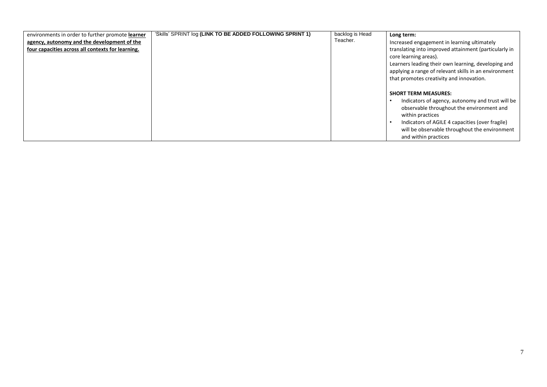| environments in order to further promote learner  | 'Skills' SPRINT log (LINK TO BE ADDED FOLLOWING SPRINT 1) | backlog is Head | Long term:                                                                                                                                                                                                                                                                   |
|---------------------------------------------------|-----------------------------------------------------------|-----------------|------------------------------------------------------------------------------------------------------------------------------------------------------------------------------------------------------------------------------------------------------------------------------|
| agency, autonomy and the development of the       |                                                           | Teacher.        | Increased engagement in learning ultimately                                                                                                                                                                                                                                  |
| four capacities across all contexts for learning. |                                                           |                 | translating into improved attainment (particularly in<br>core learning areas).<br>Learners leading their own learning, developing and<br>applying a range of relevant skills in an environment<br>that promotes creativity and innovation.                                   |
|                                                   |                                                           |                 | <b>SHORT TERM MEASURES:</b><br>Indicators of agency, autonomy and trust will be<br>observable throughout the environment and<br>within practices<br>Indicators of AGILE 4 capacities (over fragile)<br>will be observable throughout the environment<br>and within practices |